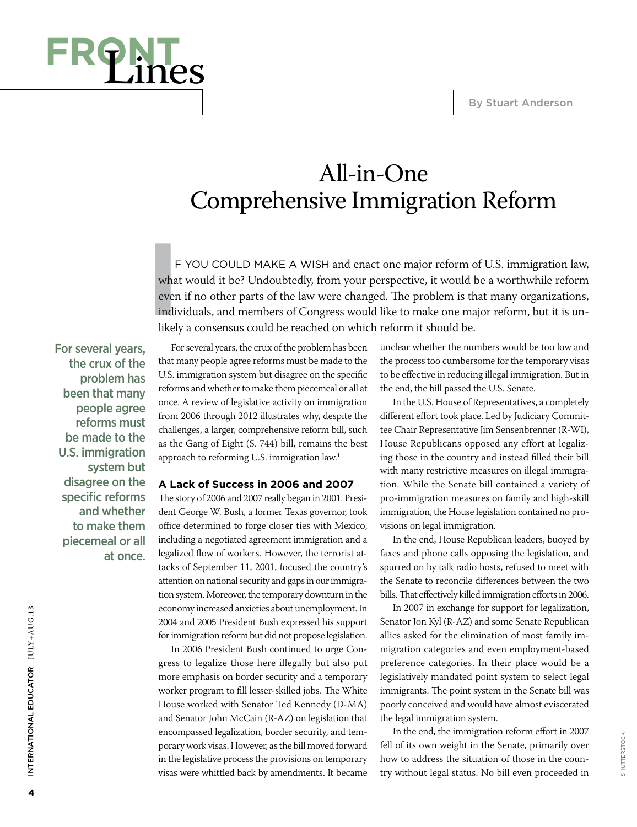

# All-in-One Comprehensive Immigration Reform

**IF**<br> **I**<br> **I**<br> **III**<br> **III**<br> **III**<br> **III** F YOU COULD MAKE A WISH and enact one major reform of U.S. immigration law, what would it be? Undoubtedly, from your perspective, it would be a worthwhile reform even if no other parts of the law were changed. The problem is that many organizations, individuals, and members of Congress would like to make one major reform, but it is unlikely a consensus could be reached on which reform it should be.

For several years, the crux of the problem has been that many people agree reforms must be made to the U.S. immigration system but disagree on the specific reforms and whether to make them piecemeal or all at once.

For several years, the crux of the problem has been that many people agree reforms must be made to the U.S. immigration system but disagree on the specific reforms and whether to make them piecemeal or all at once. A review of legislative activity on immigration from 2006 through 2012 illustrates why, despite the challenges, a larger, comprehensive reform bill, such as the Gang of Eight (S. 744) bill, remains the best approach to reforming U.S. immigration law.<sup>1</sup>

### **A Lack of Success in 2006 and 2007**

The story of 2006 and 2007 really began in 2001. President George W. Bush, a former Texas governor, took office determined to forge closer ties with Mexico, including a negotiated agreement immigration and a legalized flow of workers. However, the terrorist attacks of September 11, 2001, focused the country's attention on national security and gaps in our immigration system. Moreover, the temporary downturn in the economy increased anxieties about unemployment. In 2004 and 2005 President Bush expressed his support for immigration reform but did not propose legislation.

In 2006 President Bush continued to urge Congress to legalize those here illegally but also put more emphasis on border security and a temporary worker program to fill lesser-skilled jobs. The White House worked with Senator Ted Kennedy (D-MA) and Senator John McCain (R-AZ) on legislation that encompassed legalization, border security, and temporary work visas. However, as the bill moved forward in the legislative process the provisions on temporary visas were whittled back by amendments. It became

unclear whether the numbers would be too low and the process too cumbersome for the temporary visas to be effective in reducing illegal immigration. But in the end, the bill passed the U.S. Senate.

In the U.S. House of Representatives, a completely different effort took place. Led by Judiciary Committee Chair Representative Jim Sensenbrenner (R-WI), House Republicans opposed any effort at legalizing those in the country and instead filled their bill with many restrictive measures on illegal immigration. While the Senate bill contained a variety of pro-immigration measures on family and high-skill immigration, the House legislation contained no provisions on legal immigration.

In the end, House Republican leaders, buoyed by faxes and phone calls opposing the legislation, and spurred on by talk radio hosts, refused to meet with the Senate to reconcile differences between the two bills. That effectively killed immigration efforts in 2006.

In 2007 in exchange for support for legalization, Senator Jon Kyl (R-AZ) and some Senate Republican allies asked for the elimination of most family immigration categories and even employment-based preference categories. In their place would be a legislatively mandated point system to select legal immigrants. The point system in the Senate bill was poorly conceived and would have almost eviscerated the legal immigration system.

In the end, the immigration reform effort in 2007 fell of its own weight in the Senate, primarily over how to address the situation of those in the country without legal status. No bill even proceeded in

International Educator JULY+AUG.13

INTERNATIONAL EDUCATOR JULY+AUG.13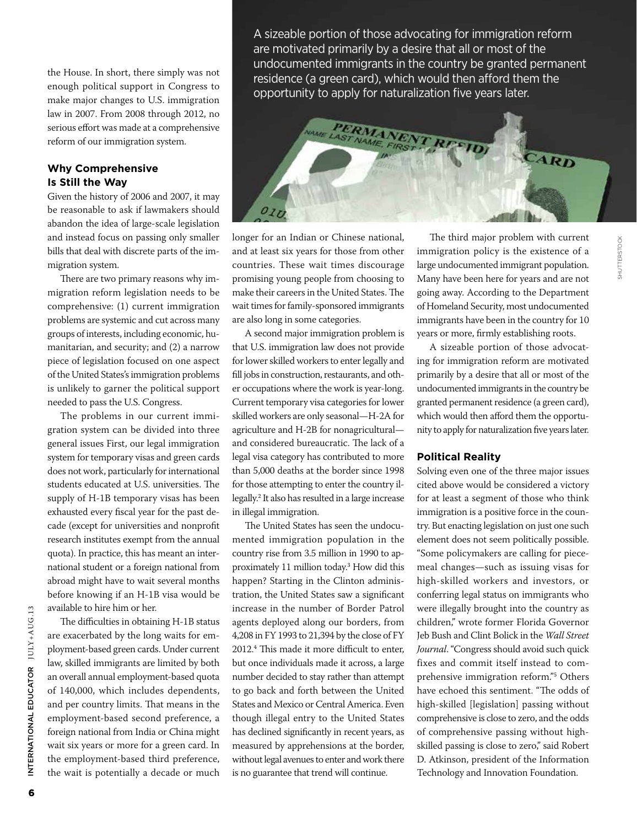the House. In short, there simply was not enough political support in Congress to make major changes to U.S. immigration law in 2007. From 2008 through 2012, no serious effort was made at a comprehensive reform of our immigration system.

# **Why Comprehensive Is Still the Way**

Given the history of 2006 and 2007, it may be reasonable to ask if lawmakers should abandon the idea of large-scale legislation and instead focus on passing only smaller bills that deal with discrete parts of the immigration system.

There are two primary reasons why immigration reform legislation needs to be comprehensive: (1) current immigration problems are systemic and cut across many groups of interests, including economic, humanitarian, and security; and (2) a narrow piece of legislation focused on one aspect of the United States's immigration problems is unlikely to garner the political support needed to pass the U.S. Congress.

The problems in our current immigration system can be divided into three general issues First, our legal immigration system for temporary visas and green cards does not work, particularly for international students educated at U.S. universities. The supply of H-1B temporary visas has been exhausted every fiscal year for the past decade (except for universities and nonprofit research institutes exempt from the annual quota). In practice, this has meant an international student or a foreign national from abroad might have to wait several months before knowing if an H-1B visa would be available to hire him or her.

The difficulties in obtaining H-1B status are exacerbated by the long waits for employment-based green cards. Under current law, skilled immigrants are limited by both an overall annual employment-based quota of 140,000, which includes dependents, and per country limits. That means in the employment-based second preference, a foreign national from India or China might wait six years or more for a green card. In the employment-based third preference, the wait is potentially a decade or much

A sizeable portion of those advocating for immigration reform are motivated primarily by a desire that all or most of the undocumented immigrants in the country be granted permanent residence (a green card), which would then afford them the opportunity to apply for naturalization five years later.



longer for an Indian or Chinese national, and at least six years for those from other countries. These wait times discourage promising young people from choosing to make their careers in the United States. The wait times for family-sponsored immigrants are also long in some categories.

A second major immigration problem is that U.S. immigration law does not provide for lower skilled workers to enter legally and fill jobs in construction, restaurants, and other occupations where the work is year-long. Current temporary visa categories for lower skilled workers are only seasonal—H-2A for agriculture and H-2B for nonagricultural and considered bureaucratic. The lack of a legal visa category has contributed to more than 5,000 deaths at the border since 1998 for those attempting to enter the country illegally.<sup>2</sup> It also has resulted in a large increase in illegal immigration.

The United States has seen the undocumented immigration population in the country rise from 3.5 million in 1990 to approximately 11 million today.<sup>3</sup> How did this happen? Starting in the Clinton administration, the United States saw a significant increase in the number of Border Patrol agents deployed along our borders, from 4,208 in FY 1993 to 21,394 by the close of FY 2012.<sup>4</sup> This made it more difficult to enter, but once individuals made it across, a large number decided to stay rather than attempt to go back and forth between the United States and Mexico or Central America. Even though illegal entry to the United States has declined significantly in recent years, as measured by apprehensions at the border, without legal avenues to enter and work there is no guarantee that trend will continue.

The third major problem with current immigration policy is the existence of a large undocumented immigrant population. Many have been here for years and are not going away. According to the Department of Homeland Security, most undocumented immigrants have been in the country for 10 years or more, firmly establishing roots.

A sizeable portion of those advocating for immigration reform are motivated primarily by a desire that all or most of the undocumented immigrants in the country be granted permanent residence (a green card), which would then afford them the opportunity to apply for naturalization five years later.

## **Political Reality**

Solving even one of the three major issues cited above would be considered a victory for at least a segment of those who think immigration is a positive force in the country. But enacting legislation on just one such element does not seem politically possible. "Some policymakers are calling for piecemeal changes—such as issuing visas for high-skilled workers and investors, or conferring legal status on immigrants who were illegally brought into the country as children," wrote former Florida Governor Jeb Bush and Clint Bolick in the *Wall Street Journal*. "Congress should avoid such quick fixes and commit itself instead to comprehensive immigration reform."<sup>5</sup> Others have echoed this sentiment. "The odds of high-skilled [legislation] passing without comprehensive is close to zero, and the odds of comprehensive passing without highskilled passing is close to zero," said Robert D. Atkinson, president of the Information Technology and Innovation Foundation.

International Educator JULY+AUG.13

INTERNATIONAL EDUCATOR JULY+AUG.13